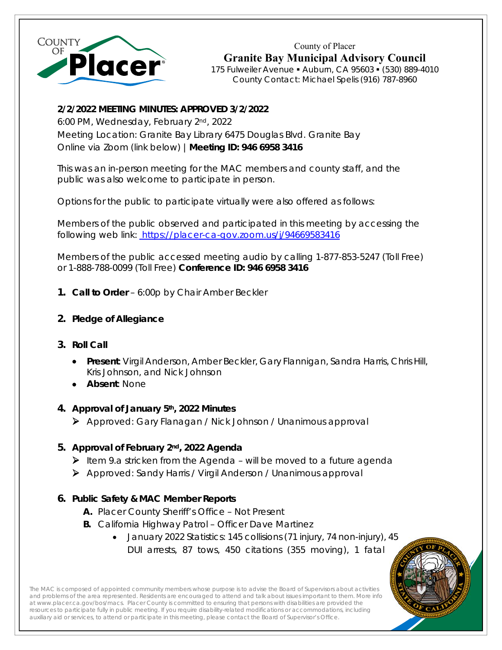

County of Placer **Granite Bay Municipal Advisory Council**  175 Fulweiler Avenue Auburn, CA 95603 (530) 889-4010 County Contact: Michael Spelis (916) 787-8960

# **2/2/2022 MEETING MINUTES: APPROVED 3/2/2022**

6:00 PM, Wednesday, February 2nd, 2022 Meeting Location: Granite Bay Library 6475 Douglas Blvd. Granite Bay Online via Zoom (link below) |**Meeting ID: 946 6958 3416**

This was an in-person meeting for the MAC members and county staff, and the public was also welcome to participate in person.

Options for the public to participate virtually were also offered as follows:

Members of the public observed and participated in this meeting by accessing the following web link: https://placer-ca-gov.zoom.us/j/94669583416

Members of the public accessed meeting audio by calling 1-877-853-5247 (Toll Free) or 1-888-788-0099 (Toll Free) **Conference ID: 946 6958 3416** 

- **1. Call to Order** 6:00p by Chair Amber Beckler
- **2. Pledge of Allegiance**
- **3. Roll Call** 
	- **Present**: Virgil Anderson, Amber Beckler, Gary Flannigan, Sandra Harris, Chris Hill, Kris Johnson, and Nick Johnson
	- **Absent**: None

# **4. Approval of January 5th, 2022 Minutes**

Approved: Gary Flanagan / Nick Johnson / Unanimous approval

# **5. Approval of February 2nd, 2022 Agenda**

- $\triangleright$  Item 9.a stricken from the Agenda will be moved to a future agenda
- Approved: Sandy Harris / Virgil Anderson / Unanimous approval

# **6. Public Safety & MAC Member Reports**

- **A.** Placer County Sheriff's Office Not Present
- **B.** California Highway Patrol Officer Dave Martinez
	- January 2022 Statistics: 145 collisions (71 injury, 74 non-injury), 45 DUI arrests, 87 tows, 450 citations (355 moving), 1 fatal



The MAC is composed of appointed community members whose purpose is to advise the Board of Supervisors about activities and problems of the area represented. Residents are encouraged to attend and talk about issues important to them. More info at www.placer.ca.gov/bos/macs. Placer County is committed to ensuring that persons with disabilities are provided the resources to participate fully in public meeting. If you require disability-related modifications or accommodations, including resources to participate rulig in public meeting. If you require usability-related modifications of accommodations<br>auxiliary aid or services, to attend or participate in this meeting, please contact the Board of Supervisor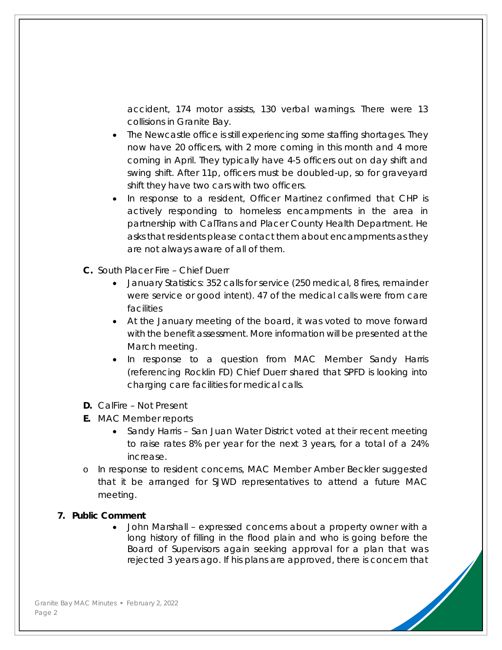accident, 174 motor assists, 130 verbal warnings. There were 13 collisions in Granite Bay.

- The Newcastle office is still experiencing some staffing shortages. They now have 20 officers, with 2 more coming in this month and 4 more coming in April. They typically have 4-5 officers out on day shift and swing shift. After 11p, officers must be doubled-up, so for graveyard shift they have two cars with two officers.
- In response to a resident, Officer Martinez confirmed that CHP is actively responding to homeless encampments in the area in partnership with CalTrans and Placer County Health Department. He asks that residents please contact them about encampments as they are not always aware of all of them.
- **C.** South Placer Fire Chief Duerr
	- January Statistics: 352 calls for service (250 medical, 8 fires, remainder were service or good intent). 47 of the medical calls were from care facilities
	- At the January meeting of the board, it was voted to move forward with the benefit assessment. More information will be presented at the March meeting.
	- In response to a question from MAC Member Sandy Harris (referencing Rocklin FD) Chief Duerr shared that SPFD is looking into charging care facilities for medical calls.
- **D.** CalFire Not Present
- **E.** MAC Member reports
	- Sandy Harris San Juan Water District voted at their recent meeting to raise rates 8% per year for the next 3 years, for a total of a 24% increase.
- o In response to resident concerns, MAC Member Amber Beckler suggested that it be arranged for SJWD representatives to attend a future MAC meeting.

#### **7. Public Comment**

 John Marshall – expressed concerns about a property owner with a long history of filling in the flood plain and who is going before the Board of Supervisors again seeking approval for a plan that was rejected 3 years ago. If his plans are approved, there is concern that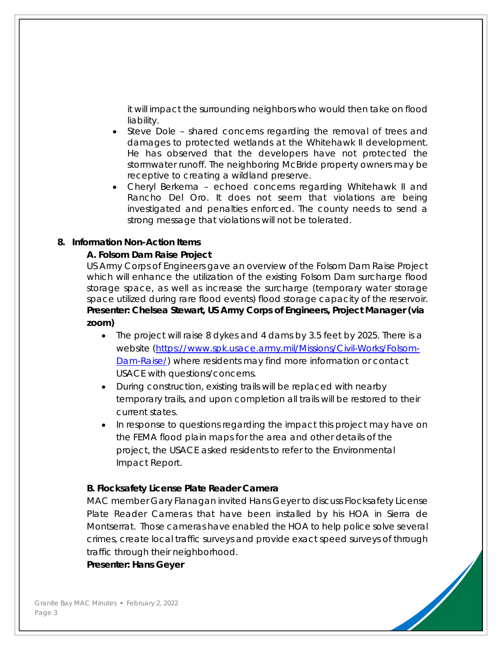it will impact the surrounding neighbors who would then take on flood liability.

- Steve Dole shared concerns regarding the removal of trees and damages to protected wetlands at the Whitehawk II development. He has observed that the developers have not protected the stormwater runoff. The neighboring McBride property owners may be receptive to creating a wildland preserve.
- Cheryl Berkema echoed concerns regarding Whitehawk II and Rancho Del Oro. It does not seem that violations are being investigated and penalties enforced. The county needs to send a strong message that violations will not be tolerated.

### **8. Information Non-Action Items**

# **A. Folsom Dam Raise Project**

US Army Corps of Engineers gave an overview of the Folsom Dam Raise Project which will enhance the utilization of the existing Folsom Dam surcharge flood storage space, as well as increase the surcharge (temporary water storage space utilized during rare flood events) flood storage capacity of the reservoir. **Presenter: Chelsea Stewart, US Army Corps of Engineers, Project Manager (via zoom)** 

- The project will raise 8 dykes and 4 dams by 3.5 feet by 2025. There is a website (https://www.spk.usace.army.mil/Missions/Civil-Works/Folsom-Dam-Raise/) where residents may find more information or contact USACE with questions/concerns.
- During construction, existing trails will be replaced with nearby temporary trails, and upon completion all trails will be restored to their current states.
- In response to questions regarding the impact this project may have on the FEMA flood plain maps for the area and other details of the project, the USACE asked residents to refer to the Environmental Impact Report.

### **B. Flocksafety License Plate Reader Camera**

MAC member Gary Flanagan invited Hans Geyer to discuss Flocksafety License Plate Reader Cameras that have been installed by his HOA in Sierra de Montserrat. Those cameras have enabled the HOA to help police solve several crimes, create local traffic surveys and provide exact speed surveys of through traffic through their neighborhood.

**Presenter: Hans Geyer**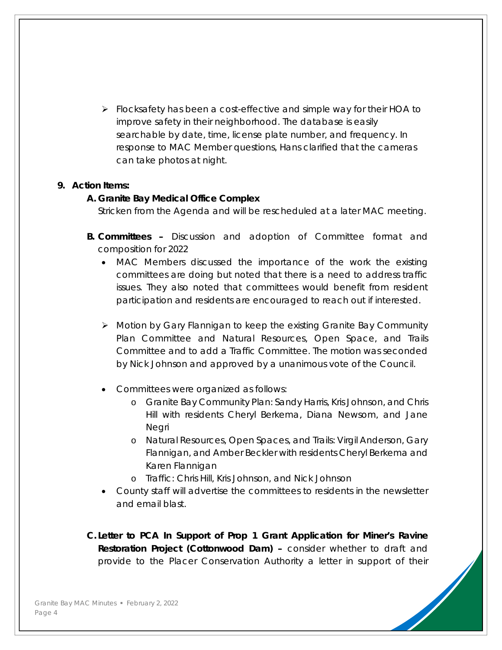$\triangleright$  Flocksafety has been a cost-effective and simple way for their HOA to improve safety in their neighborhood. The database is easily searchable by date, time, license plate number, and frequency. In response to MAC Member questions, Hans clarified that the cameras can take photos at night.

### **9. Action Items:**

#### **A. Granite Bay Medical Office Complex**

Stricken from the Agenda and will be rescheduled at a later MAC meeting.

- **B. Committees** Discussion and adoption of Committee format and composition for 2022
	- MAC Members discussed the importance of the work the existing committees are doing but noted that there is a need to address traffic issues. They also noted that committees would benefit from resident participation and residents are encouraged to reach out if interested.
	- Motion by Gary Flannigan to keep the existing Granite Bay Community Plan Committee and Natural Resources, Open Space, and Trails Committee and to add a Traffic Committee. The motion was seconded by Nick Johnson and approved by a unanimous vote of the Council.
	- Committees were organized as follows:
		- o Granite Bay Community Plan: Sandy Harris, Kris Johnson, and Chris Hill with residents Cheryl Berkema, Diana Newsom, and Jane Negri
		- o Natural Resources, Open Spaces, and Trails: Virgil Anderson, Gary Flannigan, and Amber Beckler with residents Cheryl Berkema and Karen Flannigan
		- o Traffic: Chris Hill, Kris Johnson, and Nick Johnson
	- County staff will advertise the committees to residents in the newsletter and email blast.

**C. Letter to PCA In Support of Prop 1 Grant Application for Miner's Ravine Restoration Project (Cottonwood Dam) –** consider whether to draft and provide to the Placer Conservation Authority a letter in support of their